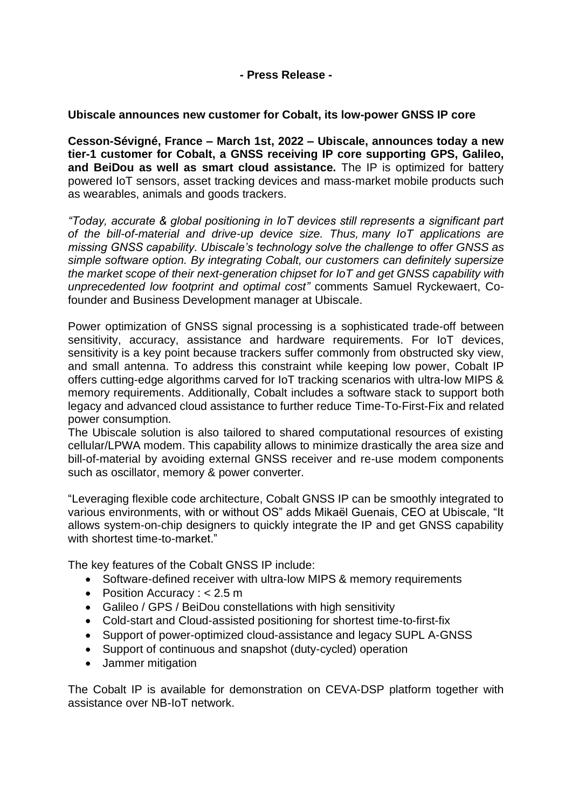## **- Press Release -**

## **Ubiscale announces new customer for Cobalt, its low-power GNSS IP core**

**Cesson-Sévigné, France – March 1st, 2022 – Ubiscale, announces today a new tier-1 customer for Cobalt, a GNSS receiving IP core supporting GPS, Galileo, and BeiDou as well as smart cloud assistance.** The IP is optimized for battery powered IoT sensors, asset tracking devices and mass-market mobile products such as wearables, animals and goods trackers.

*"Today, accurate & global positioning in IoT devices still represents a significant part of the bill-of-material and drive-up device size. Thus, many IoT applications are missing GNSS capability. Ubiscale's technology solve the challenge to offer GNSS as simple software option. By integrating Cobalt, our customers can definitely supersize the market scope of their next-generation chipset for IoT and get GNSS capability with unprecedented low footprint and optimal cost"* comments Samuel Ryckewaert, Cofounder and Business Development manager at Ubiscale.

Power optimization of GNSS signal processing is a sophisticated trade-off between sensitivity, accuracy, assistance and hardware requirements. For IoT devices, sensitivity is a key point because trackers suffer commonly from obstructed sky view, and small antenna. To address this constraint while keeping low power, Cobalt IP offers cutting-edge algorithms carved for IoT tracking scenarios with ultra-low MIPS & memory requirements. Additionally, Cobalt includes a software stack to support both legacy and advanced cloud assistance to further reduce Time-To-First-Fix and related power consumption.

The Ubiscale solution is also tailored to shared computational resources of existing cellular/LPWA modem. This capability allows to minimize drastically the area size and bill-of-material by avoiding external GNSS receiver and re-use modem components such as oscillator, memory & power converter.

"Leveraging flexible code architecture, Cobalt GNSS IP can be smoothly integrated to various environments, with or without OS" adds Mikaël Guenais, CEO at Ubiscale, "It allows system-on-chip designers to quickly integrate the IP and get GNSS capability with shortest time-to-market."

The key features of the Cobalt GNSS IP include:

- Software-defined receiver with ultra-low MIPS & memory requirements
- Position Accuracy : < 2.5 m
- Galileo / GPS / BeiDou constellations with high sensitivity
- Cold-start and Cloud-assisted positioning for shortest time-to-first-fix
- Support of power-optimized cloud-assistance and legacy SUPL A-GNSS
- Support of continuous and snapshot (duty-cycled) operation
- Jammer mitigation

The Cobalt IP is available for demonstration on CEVA-DSP platform together with assistance over NB-IoT network.